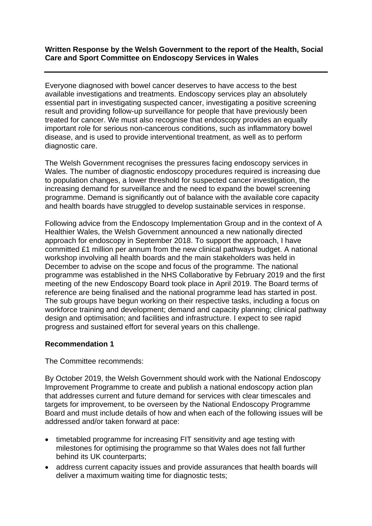## **Written Response by the Welsh Government to the report of the Health, Social Care and Sport Committee on Endoscopy Services in Wales**

Everyone diagnosed with bowel cancer deserves to have access to the best available investigations and treatments. Endoscopy services play an absolutely essential part in investigating suspected cancer, investigating a positive screening result and providing follow-up surveillance for people that have previously been treated for cancer. We must also recognise that endoscopy provides an equally important role for serious non-cancerous conditions, such as inflammatory bowel disease, and is used to provide interventional treatment, as well as to perform diagnostic care.

The Welsh Government recognises the pressures facing endoscopy services in Wales. The number of diagnostic endoscopy procedures required is increasing due to population changes, a lower threshold for suspected cancer investigation, the increasing demand for surveillance and the need to expand the bowel screening programme. Demand is significantly out of balance with the available core capacity and health boards have struggled to develop sustainable services in response.

Following advice from the Endoscopy Implementation Group and in the context of A Healthier Wales, the Welsh Government announced a new nationally directed approach for endoscopy in September 2018. To support the approach, I have committed £1 million per annum from the new clinical pathways budget. A national workshop involving all health boards and the main stakeholders was held in December to advise on the scope and focus of the programme. The national programme was established in the NHS Collaborative by February 2019 and the first meeting of the new Endoscopy Board took place in April 2019. The Board terms of reference are being finalised and the national programme lead has started in post. The sub groups have begun working on their respective tasks, including a focus on workforce training and development; demand and capacity planning; clinical pathway design and optimisation; and facilities and infrastructure. I expect to see rapid progress and sustained effort for several years on this challenge.

## **Recommendation 1**

The Committee recommends:

By October 2019, the Welsh Government should work with the National Endoscopy Improvement Programme to create and publish a national endoscopy action plan that addresses current and future demand for services with clear timescales and targets for improvement, to be overseen by the National Endoscopy Programme Board and must include details of how and when each of the following issues will be addressed and/or taken forward at pace:

- timetabled programme for increasing FIT sensitivity and age testing with milestones for optimising the programme so that Wales does not fall further behind its UK counterparts;
- address current capacity issues and provide assurances that health boards will deliver a maximum waiting time for diagnostic tests;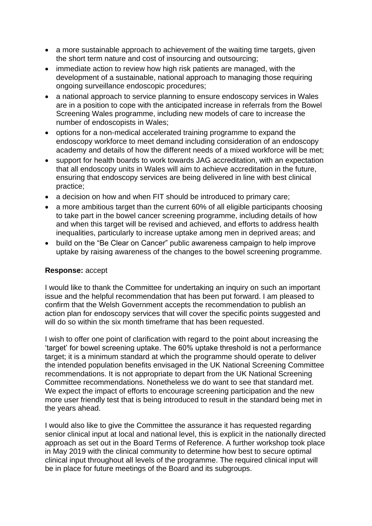- a more sustainable approach to achievement of the waiting time targets, given the short term nature and cost of insourcing and outsourcing;
- immediate action to review how high risk patients are managed, with the development of a sustainable, national approach to managing those requiring ongoing surveillance endoscopic procedures;
- a national approach to service planning to ensure endoscopy services in Wales are in a position to cope with the anticipated increase in referrals from the Bowel Screening Wales programme, including new models of care to increase the number of endoscopists in Wales;
- options for a non-medical accelerated training programme to expand the endoscopy workforce to meet demand including consideration of an endoscopy academy and details of how the different needs of a mixed workforce will be met;
- support for health boards to work towards JAG accreditation, with an expectation that all endoscopy units in Wales will aim to achieve accreditation in the future, ensuring that endoscopy services are being delivered in line with best clinical practice;
- a decision on how and when FIT should be introduced to primary care;
- a more ambitious target than the current 60% of all eligible participants choosing to take part in the bowel cancer screening programme, including details of how and when this target will be revised and achieved, and efforts to address health inequalities, particularly to increase uptake among men in deprived areas; and
- build on the "Be Clear on Cancer" public awareness campaign to help improve uptake by raising awareness of the changes to the bowel screening programme.

## **Response:** accept

I would like to thank the Committee for undertaking an inquiry on such an important issue and the helpful recommendation that has been put forward. I am pleased to confirm that the Welsh Government accepts the recommendation to publish an action plan for endoscopy services that will cover the specific points suggested and will do so within the six month timeframe that has been requested.

I wish to offer one point of clarification with regard to the point about increasing the 'target' for bowel screening uptake. The 60% uptake threshold is not a performance target; it is a minimum standard at which the programme should operate to deliver the intended population benefits envisaged in the UK National Screening Committee recommendations. It is not appropriate to depart from the UK National Screening Committee recommendations. Nonetheless we do want to see that standard met. We expect the impact of efforts to encourage screening participation and the new more user friendly test that is being introduced to result in the standard being met in the years ahead.

I would also like to give the Committee the assurance it has requested regarding senior clinical input at local and national level, this is explicit in the nationally directed approach as set out in the Board Terms of Reference. A further workshop took place in May 2019 with the clinical community to determine how best to secure optimal clinical input throughout all levels of the programme. The required clinical input will be in place for future meetings of the Board and its subgroups.